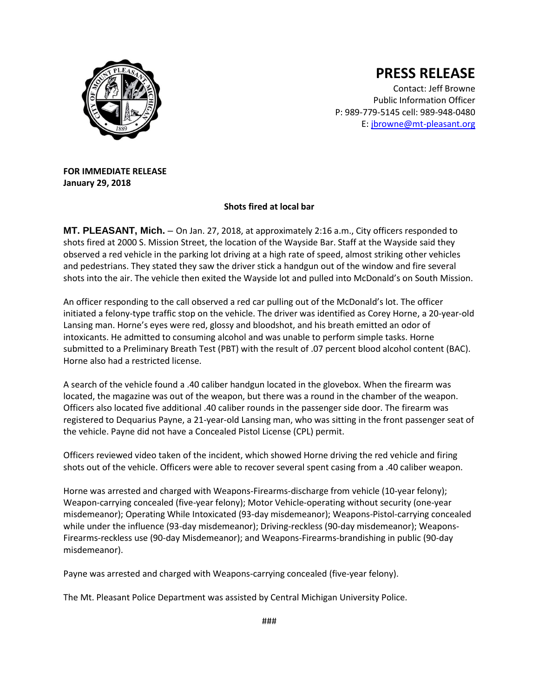

## **PRESS RELEASE**

Contact: Jeff Browne Public Information Officer P: 989-779-5145 cell: 989-948-0480 E: [jbrowne@mt-pleasant.org](mailto:jbrowne@mt-pleasant.org)

**FOR IMMEDIATE RELEASE January 29, 2018** 

## **Shots fired at local bar**

**MT. PLEASANT, Mich.** – On Jan. 27, 2018, at approximately 2:16 a.m., City officers responded to shots fired at 2000 S. Mission Street, the location of the Wayside Bar. Staff at the Wayside said they observed a red vehicle in the parking lot driving at a high rate of speed, almost striking other vehicles and pedestrians. They stated they saw the driver stick a handgun out of the window and fire several shots into the air. The vehicle then exited the Wayside lot and pulled into McDonald's on South Mission.

An officer responding to the call observed a red car pulling out of the McDonald's lot. The officer initiated a felony-type traffic stop on the vehicle. The driver was identified as Corey Horne, a 20-year-old Lansing man. Horne's eyes were red, glossy and bloodshot, and his breath emitted an odor of intoxicants. He admitted to consuming alcohol and was unable to perform simple tasks. Horne submitted to a Preliminary Breath Test (PBT) with the result of .07 percent blood alcohol content (BAC). Horne also had a restricted license.

A search of the vehicle found a .40 caliber handgun located in the glovebox. When the firearm was located, the magazine was out of the weapon, but there was a round in the chamber of the weapon. Officers also located five additional .40 caliber rounds in the passenger side door. The firearm was registered to Dequarius Payne, a 21-year-old Lansing man, who was sitting in the front passenger seat of the vehicle. Payne did not have a Concealed Pistol License (CPL) permit.

Officers reviewed video taken of the incident, which showed Horne driving the red vehicle and firing shots out of the vehicle. Officers were able to recover several spent casing from a .40 caliber weapon.

Horne was arrested and charged with Weapons-Firearms-discharge from vehicle (10-year felony); Weapon-carrying concealed (five-year felony); Motor Vehicle-operating without security (one-year misdemeanor); Operating While Intoxicated (93-day misdemeanor); Weapons-Pistol-carrying concealed while under the influence (93-day misdemeanor); Driving-reckless (90-day misdemeanor); Weapons-Firearms-reckless use (90-day Misdemeanor); and Weapons-Firearms-brandishing in public (90-day misdemeanor).

Payne was arrested and charged with Weapons-carrying concealed (five-year felony).

The Mt. Pleasant Police Department was assisted by Central Michigan University Police.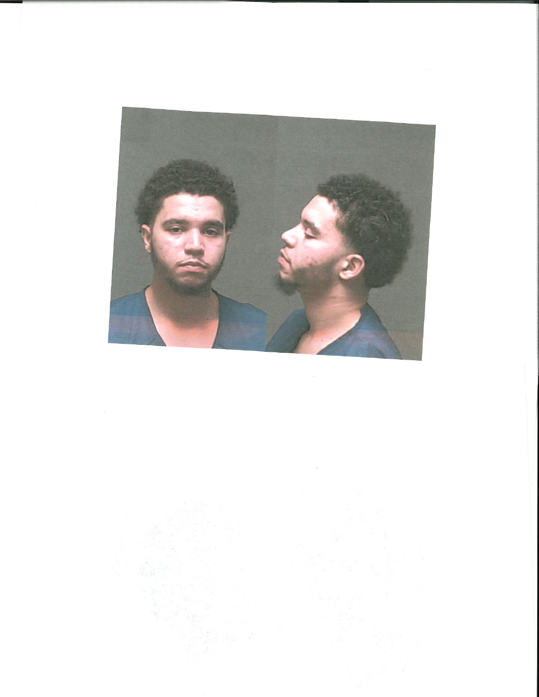